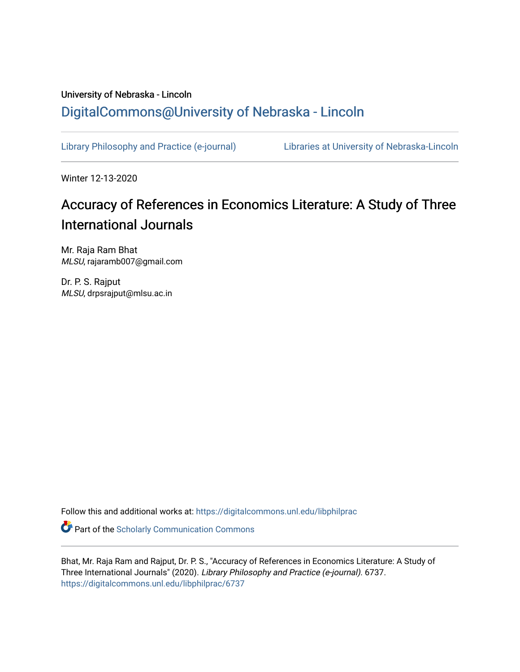# University of Nebraska - Lincoln [DigitalCommons@University of Nebraska - Lincoln](https://digitalcommons.unl.edu/)

[Library Philosophy and Practice \(e-journal\)](https://digitalcommons.unl.edu/libphilprac) [Libraries at University of Nebraska-Lincoln](https://digitalcommons.unl.edu/libraries) 

Winter 12-13-2020

# Accuracy of References in Economics Literature: A Study of Three International Journals

Mr. Raja Ram Bhat MLSU, rajaramb007@gmail.com

Dr. P. S. Rajput MLSU, drpsrajput@mlsu.ac.in

Follow this and additional works at: [https://digitalcommons.unl.edu/libphilprac](https://digitalcommons.unl.edu/libphilprac?utm_source=digitalcommons.unl.edu%2Flibphilprac%2F6737&utm_medium=PDF&utm_campaign=PDFCoverPages) 

**C** Part of the Scholarly Communication Commons

Bhat, Mr. Raja Ram and Rajput, Dr. P. S., "Accuracy of References in Economics Literature: A Study of Three International Journals" (2020). Library Philosophy and Practice (e-journal). 6737. [https://digitalcommons.unl.edu/libphilprac/6737](https://digitalcommons.unl.edu/libphilprac/6737?utm_source=digitalcommons.unl.edu%2Flibphilprac%2F6737&utm_medium=PDF&utm_campaign=PDFCoverPages)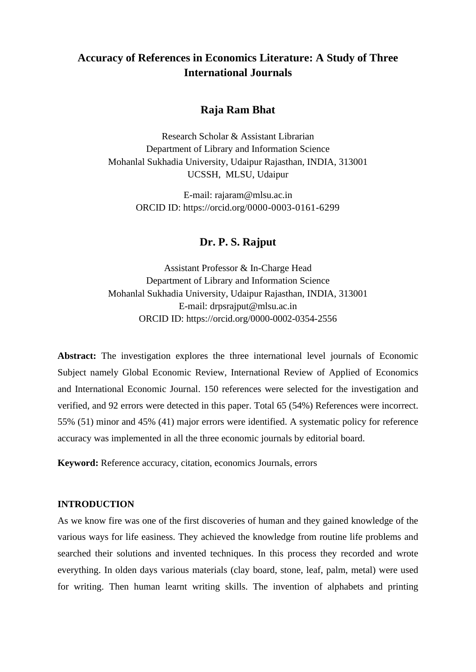# **Accuracy of References in Economics Literature: A Study of Three International Journals**

## **Raja Ram Bhat**

Research Scholar & Assistant Librarian Department of Library and Information Science Mohanlal Sukhadia University, Udaipur Rajasthan, INDIA, 313001 UCSSH, MLSU, Udaipur

> E-mail: rajaram@mlsu.ac.in ORCID ID: https://orcid.org/0000-0003-0161-6299

## **Dr. P. S. Rajput**

Assistant Professor & In-Charge Head Department of Library and Information Science Mohanlal Sukhadia University, Udaipur Rajasthan, INDIA, 313001 E-mail: drpsrajput@mlsu.ac.in ORCID ID: https://orcid.org/0000-0002-0354-2556

**Abstract:** The investigation explores the three international level journals of Economic Subject namely Global Economic Review, International Review of Applied of Economics and International Economic Journal. 150 references were selected for the investigation and verified, and 92 errors were detected in this paper. Total 65 (54%) References were incorrect. 55% (51) minor and 45% (41) major errors were identified. A systematic policy for reference accuracy was implemented in all the three economic journals by editorial board.

**Keyword:** Reference accuracy, citation, economics Journals, errors

#### **INTRODUCTION**

As we know fire was one of the first discoveries of human and they gained knowledge of the various ways for life easiness. They achieved the knowledge from routine life problems and searched their solutions and invented techniques. In this process they recorded and wrote everything. In olden days various materials (clay board, stone, leaf, palm, metal) were used for writing. Then human learnt writing skills. The invention of alphabets and printing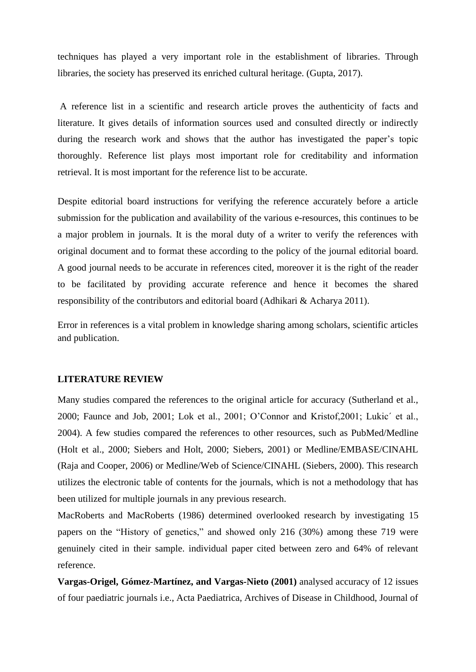techniques has played a very important role in the establishment of libraries. Through libraries, the society has preserved its enriched cultural heritage. (Gupta, 2017).

A reference list in a scientific and research article proves the authenticity of facts and literature. It gives details of information sources used and consulted directly or indirectly during the research work and shows that the author has investigated the paper's topic thoroughly. Reference list plays most important role for creditability and information retrieval. It is most important for the reference list to be accurate.

Despite editorial board instructions for verifying the reference accurately before a article submission for the publication and availability of the various e-resources, this continues to be a major problem in journals. It is the moral duty of a writer to verify the references with original document and to format these according to the policy of the journal editorial board. A good journal needs to be accurate in references cited, moreover it is the right of the reader to be facilitated by providing accurate reference and hence it becomes the shared responsibility of the contributors and editorial board (Adhikari & Acharya 2011).

Error in references is a vital problem in knowledge sharing among scholars, scientific articles and publication.

#### **LITERATURE REVIEW**

Many studies compared the references to the original article for accuracy (Sutherland et al., 2000; Faunce and Job, 2001; Lok et al., 2001; O'Connor and Kristof,2001; Lukic´ et al., 2004). A few studies compared the references to other resources, such as PubMed/Medline (Holt et al., 2000; Siebers and Holt, 2000; Siebers, 2001) or Medline/EMBASE/CINAHL (Raja and Cooper, 2006) or Medline/Web of Science/CINAHL (Siebers, 2000). This research utilizes the electronic table of contents for the journals, which is not a methodology that has been utilized for multiple journals in any previous research.

MacRoberts and MacRoberts (1986) determined overlooked research by investigating 15 papers on the "History of genetics," and showed only 216 (30%) among these 719 were genuinely cited in their sample. individual paper cited between zero and 64% of relevant reference.

**Vargas-Origel, Gómez-Martínez, and Vargas-Nieto (2001)** analysed accuracy of 12 issues of four paediatric journals i.e., Acta Paediatrica, Archives of Disease in Childhood, Journal of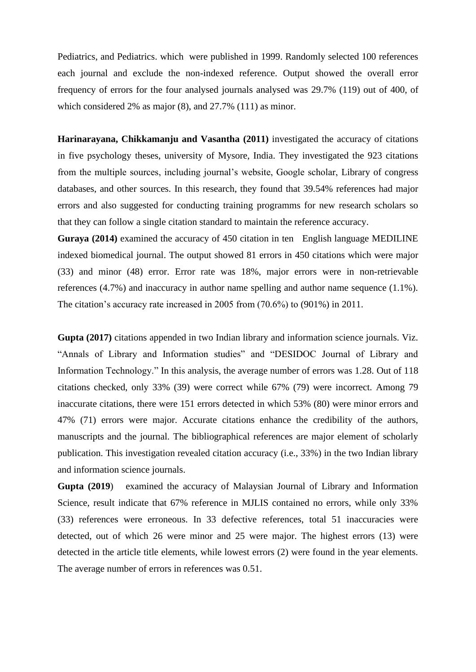Pediatrics, and Pediatrics. which were published in 1999. Randomly selected 100 references each journal and exclude the non-indexed reference. Output showed the overall error frequency of errors for the four analysed journals analysed was 29.7% (119) out of 400, of which considered 2% as major (8), and 27.7% (111) as minor.

**Harinarayana, Chikkamanju and Vasantha (2011)** investigated the accuracy of citations in five psychology theses, university of Mysore, India. They investigated the 923 citations from the multiple sources, including journal's website, Google scholar, Library of congress databases, and other sources. In this research, they found that 39.54% references had major errors and also suggested for conducting training programms for new research scholars so that they can follow a single citation standard to maintain the reference accuracy.

**Guraya (2014)** examined the accuracy of 450 citation in ten English language MEDILINE indexed biomedical journal. The output showed 81 errors in 450 citations which were major (33) and minor (48) error. Error rate was 18%, major errors were in non-retrievable references (4.7%) and inaccuracy in author name spelling and author name sequence (1.1%). The citation's accuracy rate increased in 2005 from (70.6%) to (901%) in 2011.

**Gupta (2017)** citations appended in two Indian library and information science journals. Viz. "Annals of Library and Information studies" and "DESIDOC Journal of Library and Information Technology." In this analysis, the average number of errors was 1.28. Out of 118 citations checked, only 33% (39) were correct while 67% (79) were incorrect. Among 79 inaccurate citations, there were 151 errors detected in which 53% (80) were minor errors and 47% (71) errors were major. Accurate citations enhance the credibility of the authors, manuscripts and the journal. The bibliographical references are major element of scholarly publication. This investigation revealed citation accuracy (i.e., 33%) in the two Indian library and information science journals.

**Gupta (2019**) examined the accuracy of Malaysian Journal of Library and Information Science, result indicate that 67% reference in MJLIS contained no errors, while only 33% (33) references were erroneous. In 33 defective references, total 51 inaccuracies were detected, out of which 26 were minor and 25 were major. The highest errors (13) were detected in the article title elements, while lowest errors (2) were found in the year elements. The average number of errors in references was 0.51.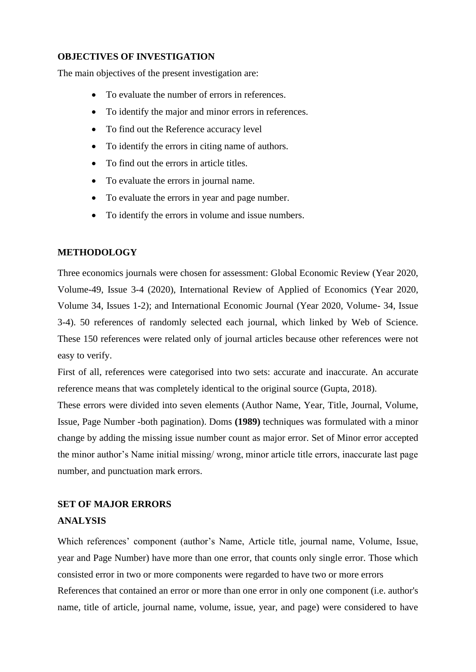#### **OBJECTIVES OF INVESTIGATION**

The main objectives of the present investigation are:

- To evaluate the number of errors in references.
- To identify the major and minor errors in references.
- To find out the Reference accuracy level
- To identify the errors in citing name of authors.
- To find out the errors in article titles.
- To evaluate the errors in journal name.
- To evaluate the errors in year and page number.
- To identify the errors in volume and issue numbers.

#### **METHODOLOGY**

Three economics journals were chosen for assessment: Global Economic Review (Year 2020, Volume-49, Issue 3-4 (2020), International Review of Applied of Economics (Year 2020, Volume 34, Issues 1-2); and International Economic Journal (Year 2020, Volume- 34, Issue 3-4). 50 references of randomly selected each journal, which linked by Web of Science. These 150 references were related only of journal articles because other references were not easy to verify.

First of all, references were categorised into two sets: accurate and inaccurate. An accurate reference means that was completely identical to the original source (Gupta, 2018).

These errors were divided into seven elements (Author Name, Year, Title, Journal, Volume, Issue, Page Number -both pagination). Doms **(1989)** techniques was formulated with a minor change by adding the missing issue number count as major error. Set of Minor error accepted the minor author's Name initial missing/ wrong, minor article title errors, inaccurate last page number, and punctuation mark errors.

# **SET OF MAJOR ERRORS ANALYSIS**

Which references' component (author's Name, Article title, journal name, Volume, Issue, year and Page Number) have more than one error, that counts only single error. Those which consisted error in two or more components were regarded to have two or more errors References that contained an error or more than one error in only one component (i.e. author's name, title of article, journal name, volume, issue, year, and page) were considered to have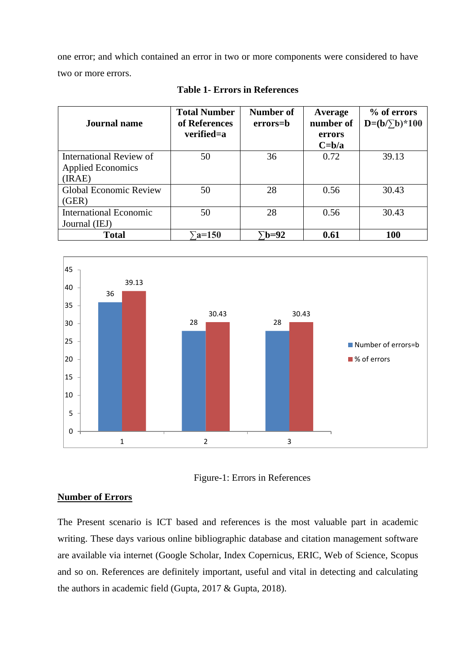one error; and which contained an error in two or more components were considered to have two or more errors.

| <b>Journal name</b>                                           | <b>Total Number</b><br>of References<br>verified=a | <b>Number of</b><br>errors=b | Average<br>number of<br>errors<br>$C = b/a$ | % of errors<br>$D=(b/\sqrt{b})*100$ |
|---------------------------------------------------------------|----------------------------------------------------|------------------------------|---------------------------------------------|-------------------------------------|
| International Review of<br><b>Applied Economics</b><br>(IRAE) | 50                                                 | 36                           | 0.72                                        | 39.13                               |
| <b>Global Economic Review</b><br>(GER)                        | 50                                                 | 28                           | 0.56                                        | 30.43                               |
| <b>International Economic</b><br>Journal (IEJ)                | 50                                                 | 28                           | 0.56                                        | 30.43                               |
| <b>Total</b>                                                  | $\sum$ a=150                                       | $\bar{b}$ =92                | 0.61                                        | 100                                 |

**Table 1- Errors in References**





#### **Number of Errors**

The Present scenario is ICT based and references is the most valuable part in academic writing. These days various online bibliographic database and citation management software are available via internet (Google Scholar, Index Copernicus, ERIC, Web of Science, Scopus and so on. References are definitely important, useful and vital in detecting and calculating the authors in academic field (Gupta, 2017 & Gupta, 2018).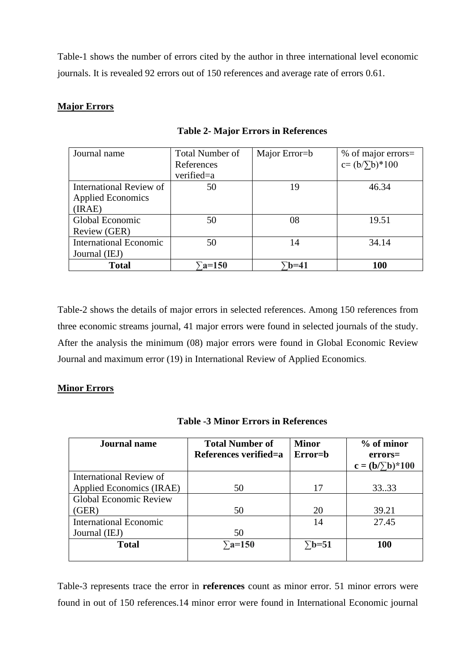Table-1 shows the number of errors cited by the author in three international level economic journals. It is revealed 92 errors out of 150 references and average rate of errors 0.61.

### **Major Errors**

| Journal name                  | <b>Total Number of</b><br>References | Major Error=b | % of major errors=<br>$c = (b/\sum b)^* 100$ |
|-------------------------------|--------------------------------------|---------------|----------------------------------------------|
|                               | verified=a                           |               |                                              |
| International Review of       | 50                                   | 19            | 46.34                                        |
| <b>Applied Economics</b>      |                                      |               |                                              |
| (IRAE)                        |                                      |               |                                              |
| Global Economic               | 50                                   | 08            | 19.51                                        |
| Review (GER)                  |                                      |               |                                              |
| <b>International Economic</b> | 50                                   | 14            | 34.14                                        |
| Journal (IEJ)                 |                                      |               |                                              |
| <b>Total</b>                  | $\Sigma$ a=150                       | `b=41         | 100                                          |

**Table 2- Major Errors in References**

Table-2 shows the details of major errors in selected references. Among 150 references from three economic streams journal, 41 major errors were found in selected journals of the study. After the analysis the minimum (08) major errors were found in Global Economic Review Journal and maximum error (19) in International Review of Applied Economics.

#### **Minor Errors**

| <b>Journal name</b>           | <b>Total Number of</b><br>References verified=a | <b>Minor</b><br>Error=b | % of minor<br>$errors=$<br>$c = (b/\sum b)^* 100$ |  |
|-------------------------------|-------------------------------------------------|-------------------------|---------------------------------------------------|--|
| International Review of       |                                                 |                         |                                                   |  |
| Applied Economics (IRAE)      | 50                                              | 17                      | 33.33                                             |  |
| <b>Global Economic Review</b> |                                                 |                         |                                                   |  |
| (GER)                         | 50                                              | 20                      | 39.21                                             |  |
| <b>International Economic</b> |                                                 | 14                      | 27.45                                             |  |
| Journal (IEJ)                 | 50                                              |                         |                                                   |  |
| <b>Total</b>                  | $\sum a=150$                                    | $\Sigma$ b=51           | <b>100</b>                                        |  |

**Table -3 Minor Errors in References**

Table-3 represents trace the error in **references** count as minor error. 51 minor errors were found in out of 150 references.14 minor error were found in International Economic journal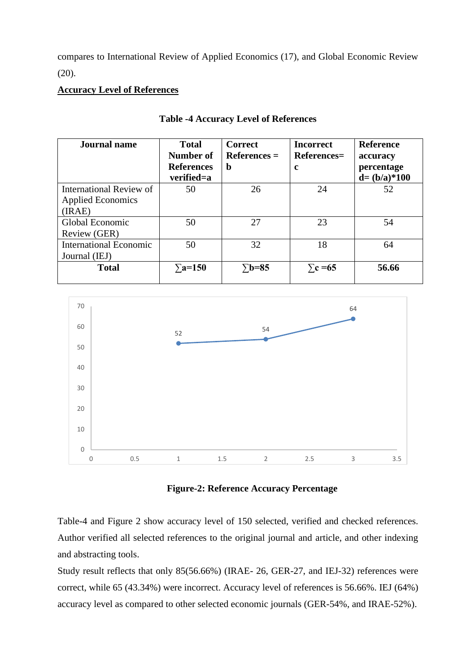compares to International Review of Applied Economics (17), and Global Economic Review (20).

## **Accuracy Level of References**

| <b>Journal</b> name           | <b>Total</b>      | <b>Correct</b> | <b>Incorrect</b>   | <b>Reference</b> |
|-------------------------------|-------------------|----------------|--------------------|------------------|
|                               | Number of         | $References =$ | <b>References=</b> | accuracy         |
|                               | <b>References</b> | b              | c                  | percentage       |
|                               | verified=a        |                |                    | $d = (b/a)*100$  |
| International Review of       | 50                | 26             | 24                 | 52               |
| <b>Applied Economics</b>      |                   |                |                    |                  |
| (IRAE)                        |                   |                |                    |                  |
| Global Economic               | 50                | 27             | 23                 | 54               |
| Review (GER)                  |                   |                |                    |                  |
| <b>International Economic</b> | 50                | 32             | 18                 | 64               |
| Journal (IEJ)                 |                   |                |                    |                  |
| <b>Total</b>                  | $\Sigma$ a=150    | $\Sigma$ b=85  | $\Sigma$ c =65     | 56.66            |
|                               |                   |                |                    |                  |

#### **Table -4 Accuracy Level of References**





Table-4 and Figure 2 show accuracy level of 150 selected, verified and checked references. Author verified all selected references to the original journal and article, and other indexing and abstracting tools.

Study result reflects that only 85(56.66%) (IRAE- 26, GER-27, and IEJ-32) references were correct, while 65 (43.34%) were incorrect. Accuracy level of references is 56.66%. IEJ (64%) accuracy level as compared to other selected economic journals (GER-54%, and IRAE-52%).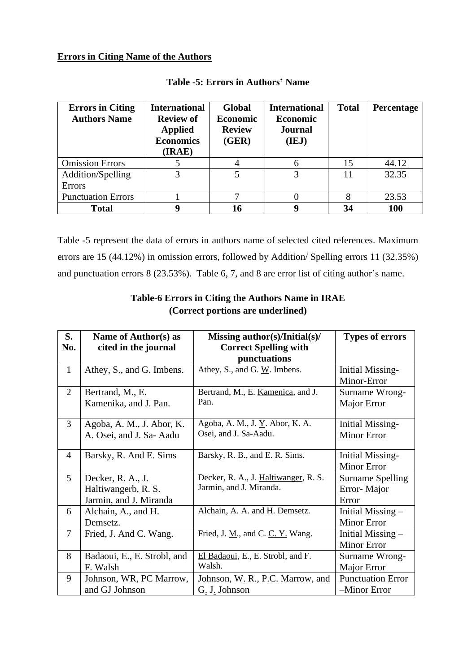#### **Errors in Citing Name of the Authors**

| <b>Errors in Citing</b><br><b>Authors Name</b> | <b>International</b><br><b>Review of</b><br><b>Applied</b><br><b>Economics</b><br>(IRAE) | <b>Global</b><br><b>Economic</b><br><b>Review</b><br>(GER) | <b>International</b><br><b>Economic</b><br><b>Journal</b><br>(IEJ) | <b>Total</b> | Percentage |
|------------------------------------------------|------------------------------------------------------------------------------------------|------------------------------------------------------------|--------------------------------------------------------------------|--------------|------------|
| <b>Omission Errors</b>                         |                                                                                          |                                                            | 6                                                                  | 15           | 44.12      |
| Addition/Spelling<br>Errors                    | 3                                                                                        |                                                            |                                                                    | 11           | 32.35      |
| <b>Punctuation Errors</b>                      |                                                                                          | ⇁                                                          |                                                                    |              | 23.53      |
| <b>Total</b>                                   | 9                                                                                        | 16                                                         | q                                                                  | 34           | 100        |

#### **Table -5: Errors in Authors' Name**

Table -5 represent the data of errors in authors name of selected cited references. Maximum errors are 15 (44.12%) in omission errors, followed by Addition/ Spelling errors 11 (32.35%) and punctuation errors 8 (23.53%). Table 6, 7, and 8 are error list of citing author's name.

| S.             | Name of Author(s) as        | Missing author(s)/Initial(s)/                                | <b>Types of errors</b>   |
|----------------|-----------------------------|--------------------------------------------------------------|--------------------------|
| No.            | cited in the journal        | <b>Correct Spelling with</b>                                 |                          |
|                |                             | punctuations                                                 |                          |
| $\mathbf{1}$   | Athey, S., and G. Imbens.   | Athey, S., and G. $\underline{W}$ . Imbens.                  | <b>Initial Missing-</b>  |
|                |                             |                                                              | Minor-Error              |
| 2              | Bertrand, M., E.            | Bertrand, M., E. Kamenica, and J.                            | Surname Wrong-           |
|                | Kamenika, and J. Pan.       | Pan.                                                         | Major Error              |
|                |                             |                                                              |                          |
| 3              | Agoba, A. M., J. Abor, K.   | Agoba, A. M., J. Y. Abor, K. A.                              | <b>Initial Missing-</b>  |
|                | A. Osei, and J. Sa-Aadu     | Osei, and J. Sa-Aadu.                                        | <b>Minor Error</b>       |
|                |                             |                                                              |                          |
| $\overline{4}$ | Barsky, R. And E. Sims      | Barsky, R. $\underline{B}$ ., and E. $\underline{R}$ . Sims. | <b>Initial Missing-</b>  |
|                |                             |                                                              | <b>Minor Error</b>       |
| $\mathfrak{S}$ | Decker, R. A., J.           | Decker, R. A., J. Haltiwanger, R. S.                         | <b>Surname Spelling</b>  |
|                | Haltiwangerb, R. S.         | Jarmin, and J. Miranda.                                      | Error-Major              |
|                | Jarmin, and J. Miranda      |                                                              | Error                    |
| 6              | Alchain, A., and H.         | Alchain, A. A. and H. Demsetz.                               | Initial Missing $-$      |
|                | Demsetz.                    |                                                              | <b>Minor Error</b>       |
| $\overline{7}$ | Fried, J. And C. Wang.      | Fried, J. $Ml$ , and C. C. Y. Wang.                          | Initial Missing $-$      |
|                |                             |                                                              | <b>Minor Error</b>       |
| 8              | Badaoui, E., E. Strobl, and | El Badaoui, E., E. Strobl, and F.                            | Surname Wrong-           |
|                | F. Walsh                    | Walsh.                                                       | Major Error              |
| 9              | Johnson, WR, PC Marrow,     | Johnson, W. R., P.C. Marrow, and                             | <b>Punctuation Error</b> |
|                | and GJ Johnson              | G. J. Johnson                                                | -Minor Error             |

## **Table-6 Errors in Citing the Authors Name in IRAE (Correct portions are underlined)**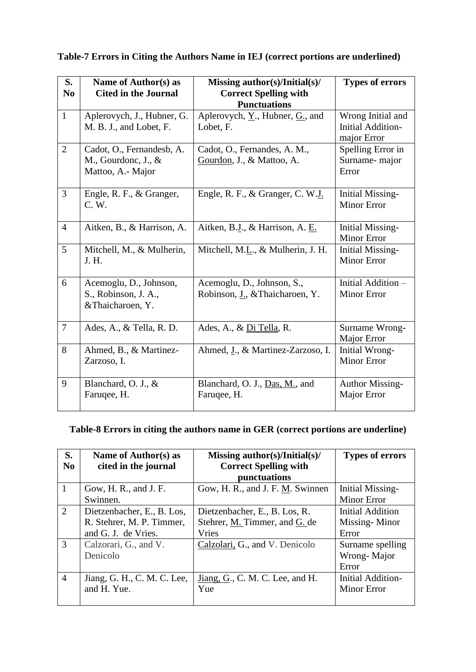| S.<br>N <sub>0</sub> | Name of Author(s) as<br><b>Cited in the Journal</b>                      | Missing author(s)/Initial(s)/<br><b>Correct Spelling with</b><br><b>Punctuations</b> | <b>Types of errors</b>                                       |
|----------------------|--------------------------------------------------------------------------|--------------------------------------------------------------------------------------|--------------------------------------------------------------|
| $\mathbf{1}$         | Aplerovych, J., Hubner, G.<br>M. B. J., and Lobet, F.                    | Aplerovych, $\underline{Y}$ ., Hubner, $\underline{G}$ ., and<br>Lobet, F.           | Wrong Initial and<br><b>Initial Addition-</b><br>major Error |
| $\overline{2}$       | Cadot, O., Fernandesb, A.<br>M., Gourdonc, J., $\&$<br>Mattoo, A.- Major | Cadot, O., Fernandes, A. M.,<br>Gourdon, J., & Mattoo, A.                            | Spelling Error in<br>Surname-major<br>Error                  |
| $\overline{3}$       | Engle, R. F., & Granger,<br>C. W.                                        | Engle, R. F., & Granger, C. W.J.                                                     | <b>Initial Missing-</b><br><b>Minor Error</b>                |
| $\overline{4}$       | Aitken, B., & Harrison, A.                                               | Aitken, B.J., & Harrison, A. E.                                                      | <b>Initial Missing-</b><br><b>Minor Error</b>                |
| 5                    | Mitchell, M., & Mulherin,<br>J. H.                                       | Mitchell, M.L., & Mulherin, J. H.                                                    | <b>Initial Missing-</b><br><b>Minor Error</b>                |
| 6                    | Acemoglu, D., Johnson,<br>S., Robinson, J. A.,<br>&Thaicharoen, Y.       | Acemoglu, D., Johnson, S.,<br>Robinson, J., & Thaicharoen, Y.                        | Initial Addition -<br><b>Minor Error</b>                     |
| $\overline{7}$       | Ades, A., & Tella, R. D.                                                 | Ades, A., & Di Tella, R.                                                             | Surname Wrong-<br>Major Error                                |
| 8                    | Ahmed, B., & Martinez-<br>Zarzoso, I.                                    | Ahmed, J., & Martinez-Zarzoso, I.                                                    | Initial Wrong-<br><b>Minor Error</b>                         |
| 9                    | Blanchard, O. J., &<br>Faruqee, H.                                       | Blanchard, O. J., Das, M., and<br>Faruqee, H.                                        | <b>Author Missing-</b><br>Major Error                        |

## **Table-7 Errors in Citing the Authors Name in IEJ (correct portions are underlined)**

# **Table-8 Errors in citing the authors name in GER (correct portions are underline)**

| S.             | Name of Author(s) as        | Missing author(s)/Initial(s)/    | <b>Types of errors</b>   |
|----------------|-----------------------------|----------------------------------|--------------------------|
| N <sub>0</sub> | cited in the journal        | <b>Correct Spelling with</b>     |                          |
|                |                             | punctuations                     |                          |
| $\overline{1}$ | Gow, H. R., and J. F.       | Gow, H. R., and J. F. M. Swinnen | <b>Initial Missing-</b>  |
|                | Swinnen.                    |                                  | <b>Minor Error</b>       |
| 2              | Dietzenbacher, E., B. Los,  | Dietzenbacher, E., B. Los, R.    | <b>Initial Addition</b>  |
|                | R. Stehrer, M. P. Timmer,   | Stehrer, M. Timmer, and G. de    | Missing-Minor            |
|                | and G. J. de Vries.         | Vries                            | Error                    |
| 3              | Calzorari, G., and V.       | Calzolari, G., and V. Denicolo   | Surname spelling         |
|                | Denicolo                    |                                  | Wrong-Major              |
|                |                             |                                  | Error                    |
| $\overline{4}$ | Jiang, G. H., C. M. C. Lee, | Jiang, G., C. M. C. Lee, and H.  | <b>Initial Addition-</b> |
|                | and H. Yue.                 | Yue                              | <b>Minor Error</b>       |
|                |                             |                                  |                          |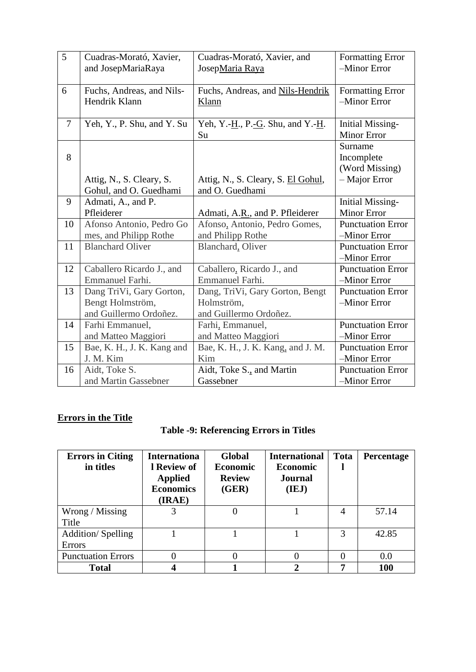| 5              | Cuadras-Morató, Xavier,                                                | Cuadras-Morató, Xavier, and                                             | <b>Formatting Error</b>                                    |
|----------------|------------------------------------------------------------------------|-------------------------------------------------------------------------|------------------------------------------------------------|
|                | and JosepMariaRaya                                                     | JosepMaria Raya                                                         | -Minor Error                                               |
| 6              | Fuchs, Andreas, and Nils-                                              | Fuchs, Andreas, and Nils-Hendrik                                        | <b>Formatting Error</b>                                    |
|                | Hendrik Klann                                                          | Klann                                                                   | -Minor Error                                               |
| $\overline{7}$ | Yeh, Y., P. Shu, and Y. Su                                             | Yeh, Y.-H., P.-G. Shu, and Y.-H.<br>Su                                  | <b>Initial Missing-</b><br><b>Minor Error</b>              |
| 8              | Attig, N., S. Cleary, S.<br>Gohul, and O. Guedhami                     | Attig, N., S. Cleary, S. El Gohul,<br>and O. Guedhami                   | Surname<br>Incomplete<br>(Word Missing)<br>$-$ Major Error |
| 9              | Admati, A., and P.<br>Pfleiderer                                       | Admati, A.R., and P. Pfleiderer                                         | <b>Initial Missing-</b><br><b>Minor Error</b>              |
| 10             | Afonso Antonio, Pedro Go                                               | Afonso, Antonio, Pedro Gomes,                                           | <b>Punctuation Error</b>                                   |
|                | mes, and Philipp Rothe                                                 | and Philipp Rothe                                                       | -Minor Error                                               |
| 11             | <b>Blanchard Oliver</b>                                                | Blanchard, Oliver                                                       | <b>Punctuation Error</b><br>-Minor Error                   |
| 12             | Caballero Ricardo J., and                                              | Caballero, Ricardo J., and                                              | <b>Punctuation Error</b>                                   |
|                | Emmanuel Farhi.                                                        | Emmanuel Farhi.                                                         | -Minor Error                                               |
| 13             | Dang TriVi, Gary Gorton,<br>Bengt Holmström,<br>and Guillermo Ordoñez. | Dang, TriVi, Gary Gorton, Bengt<br>Holmström,<br>and Guillermo Ordoñez. | <b>Punctuation Error</b><br>-Minor Error                   |
| 14             | Farhi Emmanuel,                                                        | Farhi, Emmanuel,                                                        | <b>Punctuation Error</b>                                   |
|                | and Matteo Maggiori                                                    | and Matteo Maggiori                                                     | -Minor Error                                               |
| 15             | Bae, K. H., J. K. Kang and                                             | Bae, K. H., J. K. Kang, and J. M.                                       | <b>Punctuation Error</b>                                   |
|                | J. M. Kim                                                              | Kim                                                                     | -Minor Error                                               |
| 16             | Aidt, Toke S.                                                          | Aidt, Toke S., and Martin                                               | <b>Punctuation Error</b>                                   |
|                | and Martin Gassebner                                                   | Gassebner                                                               | -Minor Error                                               |

# **Errors in the Title**

|  | <b>Table -9: Referencing Errors in Titles</b> |  |  |
|--|-----------------------------------------------|--|--|
|  |                                               |  |  |

| <b>Errors in Citing</b><br>in titles      | <b>Internationa</b><br>1 Review of<br><b>Applied</b><br><b>Economics</b><br>(IRAE) | <b>Global</b><br><b>Economic</b><br><b>Review</b><br>(GER) | <b>International</b><br><b>Economic</b><br><b>Journal</b><br>(IEJ) | <b>Tota</b> | Percentage |
|-------------------------------------------|------------------------------------------------------------------------------------|------------------------------------------------------------|--------------------------------------------------------------------|-------------|------------|
| Wrong / Missing<br>Title                  | 3                                                                                  |                                                            |                                                                    | 4           | 57.14      |
| <b>Addition/Spelling</b><br><b>Errors</b> |                                                                                    |                                                            |                                                                    | 3           | 42.85      |
| <b>Punctuation Errors</b>                 | 0                                                                                  |                                                            |                                                                    |             | 0.0        |
| <b>Total</b>                              |                                                                                    |                                                            | າ                                                                  |             | 100        |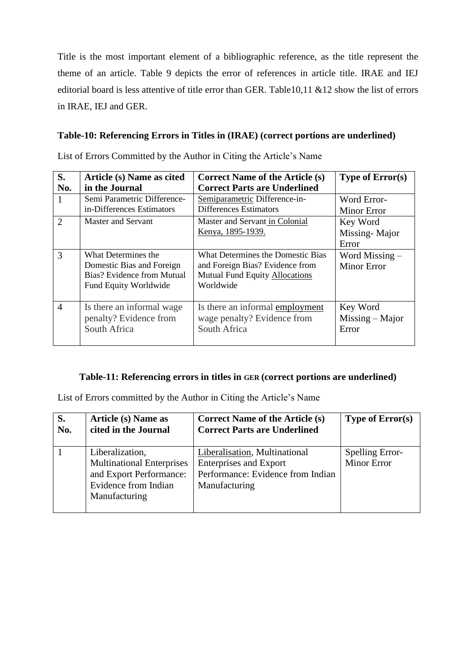Title is the most important element of a bibliographic reference, as the title represent the theme of an article. Table 9 depicts the error of references in article title. IRAE and IEJ editorial board is less attentive of title error than GER. Table10,11 &12 show the list of errors in IRAE, IEJ and GER.

## **Table-10: Referencing Errors in Titles in (IRAE) (correct portions are underlined)**

List of Errors Committed by the Author in Citing the Article's Name

| S.                          | Article (s) Name as cited                                                                                      | <b>Correct Name of the Article (s)</b>                                                                                     | <b>Type of Error(s)</b>            |
|-----------------------------|----------------------------------------------------------------------------------------------------------------|----------------------------------------------------------------------------------------------------------------------------|------------------------------------|
| No.                         | in the Journal                                                                                                 | <b>Correct Parts are Underlined</b>                                                                                        |                                    |
|                             | Semi Parametric Difference-                                                                                    | Semiparametric Difference-in-                                                                                              | Word Error-                        |
|                             | in-Differences Estimators                                                                                      | <b>Differences Estimators</b>                                                                                              | <b>Minor Error</b>                 |
| $\mathcal{D}_{\mathcal{L}}$ | <b>Master and Servant</b>                                                                                      | Master and Servant in Colonial<br><u>Kenya, 1895-1939.</u>                                                                 | Key Word<br>Missing-Major<br>Error |
| 3                           | What Determines the<br>Domestic Bias and Foreign<br>Bias? Evidence from Mutual<br><b>Fund Equity Worldwide</b> | What Determines the Domestic Bias<br>and Foreign Bias? Evidence from<br><b>Mutual Fund Equity Allocations</b><br>Worldwide | Word Missing $-$<br>Minor Error    |
| $\overline{4}$              | Is there an informal wage                                                                                      | Is there an informal employment                                                                                            | Key Word                           |
|                             | penalty? Evidence from                                                                                         | wage penalty? Evidence from                                                                                                | $Missing - Major$                  |
|                             | South Africa                                                                                                   | South Africa                                                                                                               | Error                              |

### **Table-11: Referencing errors in titles in GER (correct portions are underlined)**

List of Errors committed by the Author in Citing the Article's Name

| S.  | Article (s) Name as                                                                                                     | <b>Correct Name of the Article (s)</b>                                                                               | <b>Type of Error(s)</b>               |
|-----|-------------------------------------------------------------------------------------------------------------------------|----------------------------------------------------------------------------------------------------------------------|---------------------------------------|
| No. | cited in the Journal                                                                                                    | <b>Correct Parts are Underlined</b>                                                                                  |                                       |
|     | Liberalization,<br><b>Multinational Enterprises</b><br>and Export Performance:<br>Evidence from Indian<br>Manufacturing | Liberalisation, Multinational<br><b>Enterprises and Export</b><br>Performance: Evidence from Indian<br>Manufacturing | Spelling Error-<br><b>Minor Error</b> |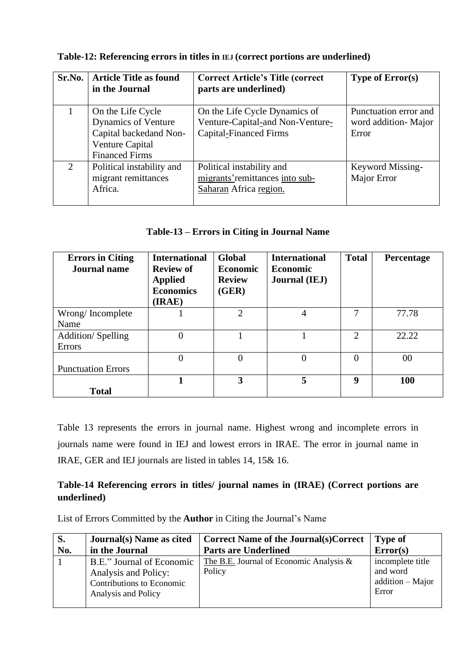| Sr.No. | <b>Article Title as found</b><br>in the Journal                                                                       | <b>Correct Article's Title (correct</b><br>parts are underlined)                                   | <b>Type of Error(s)</b>                               |
|--------|-----------------------------------------------------------------------------------------------------------------------|----------------------------------------------------------------------------------------------------|-------------------------------------------------------|
|        | On the Life Cycle<br><b>Dynamics of Venture</b><br>Capital backedand Non-<br>Venture Capital<br><b>Financed Firms</b> | On the Life Cycle Dynamics of<br>Venture-Capital-and Non-Venture-<br><b>Capital-Financed Firms</b> | Punctuation error and<br>word addition-Major<br>Error |
| 2      | Political instability and<br>migrant remittances<br>Africa.                                                           | Political instability and<br>migrants' remittances into sub-<br>Saharan Africa region.             | Keyword Missing-<br>Major Error                       |

**Table-12: Referencing errors in titles in IEJ (correct portions are underlined)**

## **Table-13 – Errors in Citing in Journal Name**

| <b>Errors in Citing</b><br><b>Journal name</b> | <b>International</b><br><b>Review of</b><br><b>Applied</b><br><b>Economics</b><br>(IRAE) | <b>Global</b><br><b>Economic</b><br><b>Review</b><br>(GER) | <b>International</b><br><b>Economic</b><br><b>Journal</b> (IEJ) | <b>Total</b> | <b>Percentage</b> |
|------------------------------------------------|------------------------------------------------------------------------------------------|------------------------------------------------------------|-----------------------------------------------------------------|--------------|-------------------|
| Wrong/Incomplete                               |                                                                                          | $\overline{2}$                                             | 4                                                               |              | 77.78             |
| Name                                           |                                                                                          |                                                            |                                                                 |              |                   |
| <b>Addition/Spelling</b>                       | $\overline{0}$                                                                           |                                                            |                                                                 | 2            | 22.22             |
| Errors                                         |                                                                                          |                                                            |                                                                 |              |                   |
|                                                | $\overline{0}$                                                                           | $\theta$                                                   | $\overline{0}$                                                  | $\Omega$     | 00                |
| <b>Punctuation Errors</b>                      |                                                                                          |                                                            |                                                                 |              |                   |
|                                                |                                                                                          | 3                                                          | 5                                                               | 9            | 100               |
| <b>Total</b>                                   |                                                                                          |                                                            |                                                                 |              |                   |

Table 13 represents the errors in journal name. Highest wrong and incomplete errors in journals name were found in IEJ and lowest errors in IRAE. The error in journal name in IRAE, GER and IEJ journals are listed in tables 14, 15& 16.

## **Table-14 Referencing errors in titles/ journal names in (IRAE) (Correct portions are underlined)**

List of Errors Committed by the **Author** in Citing the Journal's Name

| S.  | Journal(s) Name as cited                                                                              | <b>Correct Name of the Journal(s)Correct</b>         | <b>Type of</b>                                              |
|-----|-------------------------------------------------------------------------------------------------------|------------------------------------------------------|-------------------------------------------------------------|
| No. | in the Journal                                                                                        | <b>Parts are Underlined</b>                          | Error(s)                                                    |
|     | B.E." Journal of Economic<br>Analysis and Policy:<br>Contributions to Economic<br>Analysis and Policy | The B.E. Journal of Economic Analysis $\&$<br>Policy | incomplete title<br>and word<br>$addition - Major$<br>Error |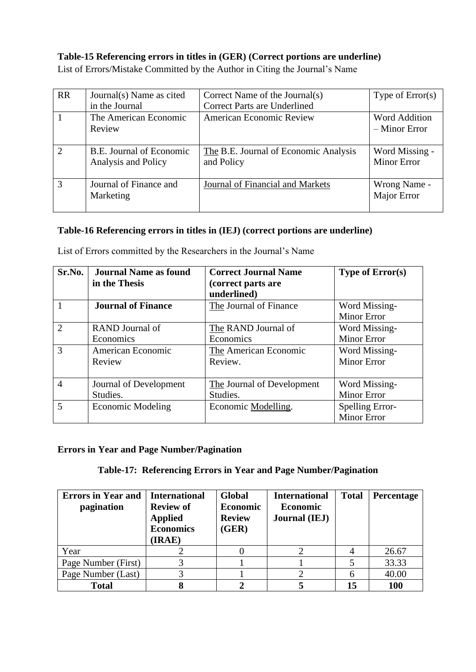### **Table-15 Referencing errors in titles in (GER) (Correct portions are underline)**

| <b>RR</b>      | Journal(s) Name as cited<br>in the Journal      | Correct Name of the Journal(s)<br><b>Correct Parts are Underlined</b> | Type of $Error(s)$                      |
|----------------|-------------------------------------------------|-----------------------------------------------------------------------|-----------------------------------------|
|                | The American Economic<br>Review                 | <b>American Economic Review</b>                                       | <b>Word Addition</b><br>$-$ Minor Error |
| $\overline{2}$ | B.E. Journal of Economic<br>Analysis and Policy | The B.E. Journal of Economic Analysis<br>and Policy                   | Word Missing -<br><b>Minor Error</b>    |
| 3              | Journal of Finance and<br>Marketing             | Journal of Financial and Markets                                      | Wrong Name -<br>Major Error             |

List of Errors/Mistake Committed by the Author in Citing the Journal's Name

### **Table-16 Referencing errors in titles in (IEJ) (correct portions are underline)**

| Sr.No.                      | <b>Journal Name as found</b><br>in the Thesis | <b>Correct Journal Name</b><br>(correct parts are<br>underlined) | <b>Type of Error(s)</b> |
|-----------------------------|-----------------------------------------------|------------------------------------------------------------------|-------------------------|
|                             | <b>Journal of Finance</b>                     | The Journal of Finance                                           | Word Missing-           |
|                             |                                               |                                                                  | <b>Minor Error</b>      |
| $\mathcal{D}_{\mathcal{A}}$ | RAND Journal of                               | The RAND Journal of                                              | Word Missing-           |
|                             | Economics                                     | Economics                                                        | <b>Minor Error</b>      |
| 3                           | American Economic                             | The American Economic                                            | Word Missing-           |
|                             | Review                                        | Review.                                                          | <b>Minor Error</b>      |
|                             |                                               |                                                                  |                         |
| 4                           | Journal of Development                        | The Journal of Development                                       | Word Missing-           |
|                             | Studies.                                      | Studies.                                                         | <b>Minor Error</b>      |
| $\overline{\mathcal{L}}$    | Economic Modeling                             | Economic Modelling.                                              | Spelling Error-         |
|                             |                                               |                                                                  | Minor Error             |

List of Errors committed by the Researchers in the Journal's Name

## **Errors in Year and Page Number/Pagination**

## **Table-17: Referencing Errors in Year and Page Number/Pagination**

| <b>Errors in Year and</b><br>pagination | <b>International</b><br><b>Review of</b><br><b>Applied</b><br><b>Economics</b><br>(IRAE) | Global<br><b>Economic</b><br><b>Review</b><br>(GER) | <b>International</b><br><b>Economic</b><br><b>Journal</b> (IEJ) | <b>Total</b> | Percentage |
|-----------------------------------------|------------------------------------------------------------------------------------------|-----------------------------------------------------|-----------------------------------------------------------------|--------------|------------|
| Year                                    |                                                                                          |                                                     |                                                                 |              | 26.67      |
| Page Number (First)                     |                                                                                          |                                                     |                                                                 |              | 33.33      |
| Page Number (Last)                      |                                                                                          |                                                     |                                                                 |              | 40.00      |
| <b>Total</b>                            |                                                                                          |                                                     |                                                                 | 15           | 100        |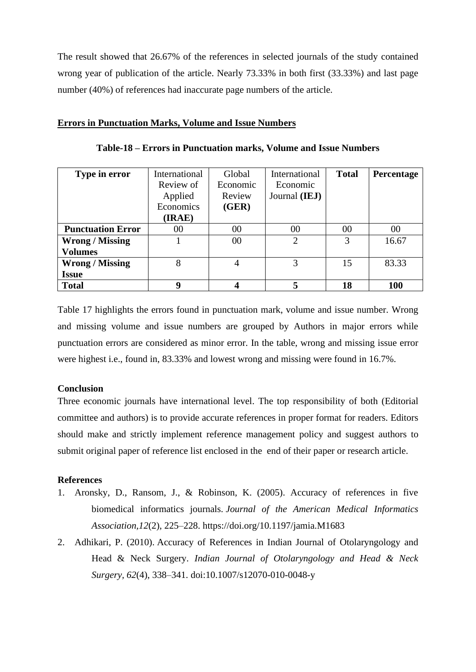The result showed that 26.67% of the references in selected journals of the study contained wrong year of publication of the article. Nearly 73.33% in both first (33.33%) and last page number (40%) of references had inaccurate page numbers of the article.

#### **Errors in Punctuation Marks, Volume and Issue Numbers**

| Type in error            | International | Global   | International  | <b>Total</b> | Percentage |
|--------------------------|---------------|----------|----------------|--------------|------------|
|                          | Review of     | Economic | Economic       |              |            |
|                          | Applied       | Review   | Journal (IEJ)  |              |            |
|                          | Economics     | (GER)    |                |              |            |
|                          | (IRAE)        |          |                |              |            |
| <b>Punctuation Error</b> | 00            | 00       | 00             | 00           | 00         |
| <b>Wrong / Missing</b>   |               | 00       | $\overline{c}$ | 3            | 16.67      |
| <b>Volumes</b>           |               |          |                |              |            |
| <b>Wrong / Missing</b>   | 8             | 4        | 3              | 15           | 83.33      |
| <b>Issue</b>             |               |          |                |              |            |
| <b>Total</b>             | 9             | 4        | 5              | 18           | 100        |

**Table-18 – Errors in Punctuation marks, Volume and Issue Numbers**

Table 17 highlights the errors found in punctuation mark, volume and issue number. Wrong and missing volume and issue numbers are grouped by Authors in major errors while punctuation errors are considered as minor error. In the table, wrong and missing issue error were highest i.e., found in, 83.33% and lowest wrong and missing were found in 16.7%.

#### **Conclusion**

Three economic journals have international level. The top responsibility of both (Editorial committee and authors) is to provide accurate references in proper format for readers. Editors should make and strictly implement reference management policy and suggest authors to submit original paper of reference list enclosed in the end of their paper or research article.

#### **References**

- 1. Aronsky, D., Ransom, J., & Robinson, K. (2005). Accuracy of references in five biomedical informatics journals. *Journal of the American Medical Informatics Association,12*(2), 225–228. https://doi.org/10.1197/jamia.M1683
- 2. Adhikari, P. (2010). Accuracy of References in Indian Journal of Otolaryngology and Head & Neck Surgery. *Indian Journal of Otolaryngology and Head & Neck Surgery, 62*(4), 338–341. doi:10.1007/s12070-010-0048-y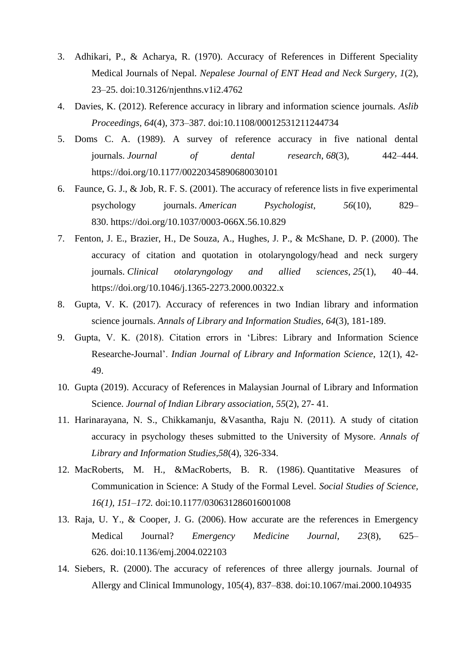- 3. Adhikari, P., & Acharya, R. (1970). Accuracy of References in Different Speciality Medical Journals of Nepal. *Nepalese Journal of ENT Head and Neck Surgery, 1*(2), 23–25. doi:10.3126/njenthns.v1i2.4762
- 4. Davies, K. (2012). Reference accuracy in library and information science journals*. Aslib Proceedings, 64*(4), 373–387*.* doi:10.1108/00012531211244734
- 5. Doms C. A. (1989). A survey of reference accuracy in five national dental journals. *Journal of dental research*, *68*(3), 442–444. https://doi.org/10.1177/00220345890680030101
- 6. Faunce, G. J., & Job, R. F. S. (2001). The accuracy of reference lists in five experimental psychology journals. *American Psychologist, 56*(10), 829– 830. https://doi.org/10.1037/0003-066X.56.10.829
- 7. Fenton, J. E., Brazier, H., De Souza, A., Hughes, J. P., & McShane, D. P. (2000). The accuracy of citation and quotation in otolaryngology/head and neck surgery journals. *Clinical otolaryngology and allied sciences*, *25*(1), 40–44. https://doi.org/10.1046/j.1365-2273.2000.00322.x
- 8. Gupta, V. K. (2017). Accuracy of references in two Indian library and information science journals. *Annals of Library and Information Studies, 64*(3), 181-189.
- 9. Gupta, V. K. (2018). Citation errors in 'Libres: Library and Information Science Researche-Journal'. *Indian Journal of Library and Information Science*, 12(1), 42- 49.
- 10. Gupta (2019). Accuracy of References in Malaysian Journal of Library and Information Science. *Journal of Indian Library association*, *55*(2), 27- 41.
- 11. Harinarayana, N. S., Chikkamanju, &Vasantha, Raju N. (2011). A study of citation accuracy in psychology theses submitted to the University of Mysore. *Annals of Library and Information Studies,58*(4), 326-334.
- 12. MacRoberts, M. H., &MacRoberts, B. R. (1986). Quantitative Measures of Communication in Science: A Study of the Formal Level*. Social Studies of Science, 16(1), 151–172.* doi:10.1177/030631286016001008
- 13. Raja, U. Y., & Cooper, J. G. (2006). How accurate are the references in Emergency Medical Journal? *Emergency Medicine Journal, 23*(8), 625– 626. doi:10.1136/emj.2004.022103
- 14. Siebers, R. (2000). The accuracy of references of three allergy journals. Journal of Allergy and Clinical Immunology, 105(4), 837–838. doi:10.1067/mai.2000.104935